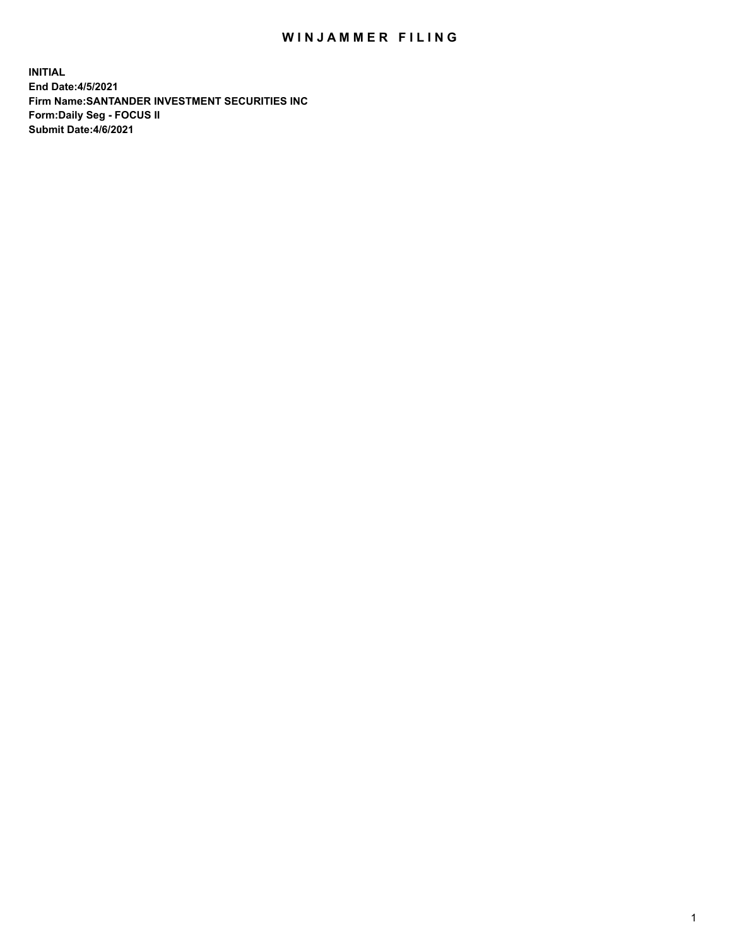## WIN JAMMER FILING

**INITIAL End Date:4/5/2021 Firm Name:SANTANDER INVESTMENT SECURITIES INC Form:Daily Seg - FOCUS II Submit Date:4/6/2021**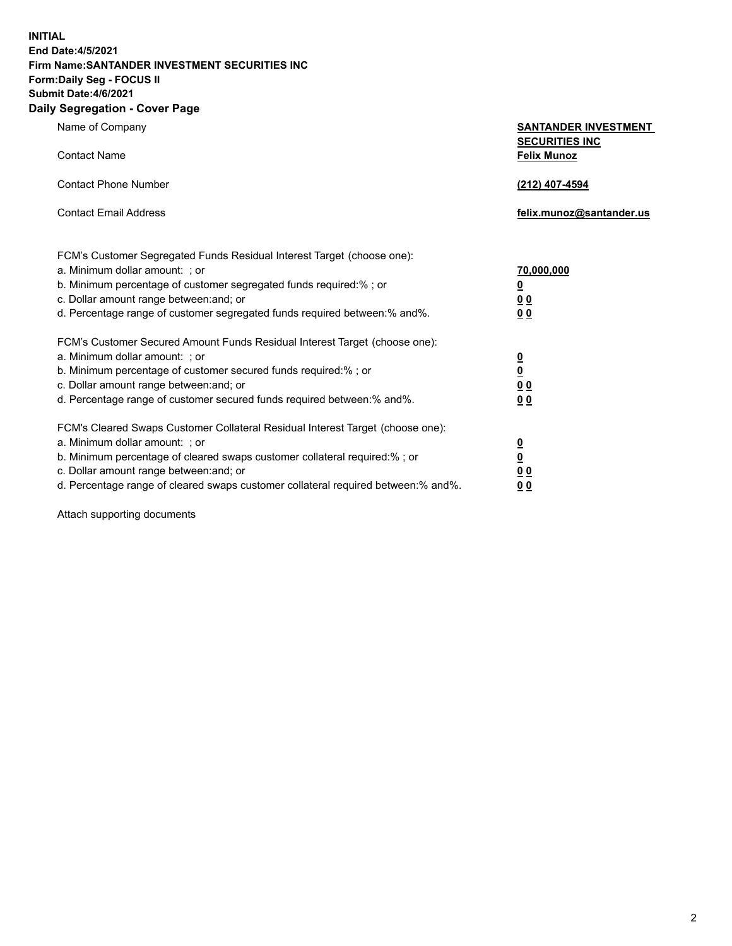**INITIAL End Date:4/5/2021 Firm Name:SANTANDER INVESTMENT SECURITIES INC Form:Daily Seg - FOCUS II Submit Date:4/6/2021 Daily Segregation - Cover Page**

Name of Company **SANTANDER INVESTMENT SECURITIES INC** Contact Name **Felix Munoz** Contact Phone Number **(212) 407-4594** Contact Email Address **felix.munoz@santander.us** FCM's Customer Segregated Funds Residual Interest Target (choose one): a. Minimum dollar amount: ; or **70,000,000** b. Minimum percentage of customer segregated funds required:% ; or **0** c. Dollar amount range between:and; or **0 0** d. Percentage range of customer segregated funds required between:% and%. **0 0** FCM's Customer Secured Amount Funds Residual Interest Target (choose one): a. Minimum dollar amount: ; or **0** b. Minimum percentage of customer secured funds required:% ; or **0** c. Dollar amount range between:and; or **0 0** d. Percentage range of customer secured funds required between:% and%. **0 0** FCM's Cleared Swaps Customer Collateral Residual Interest Target (choose one): a. Minimum dollar amount: ; or **0** b. Minimum percentage of cleared swaps customer collateral required:% ; or **0**

c. Dollar amount range between:and; or **0 0** d. Percentage range of cleared swaps customer collateral required between:% and%. **0 0**

Attach supporting documents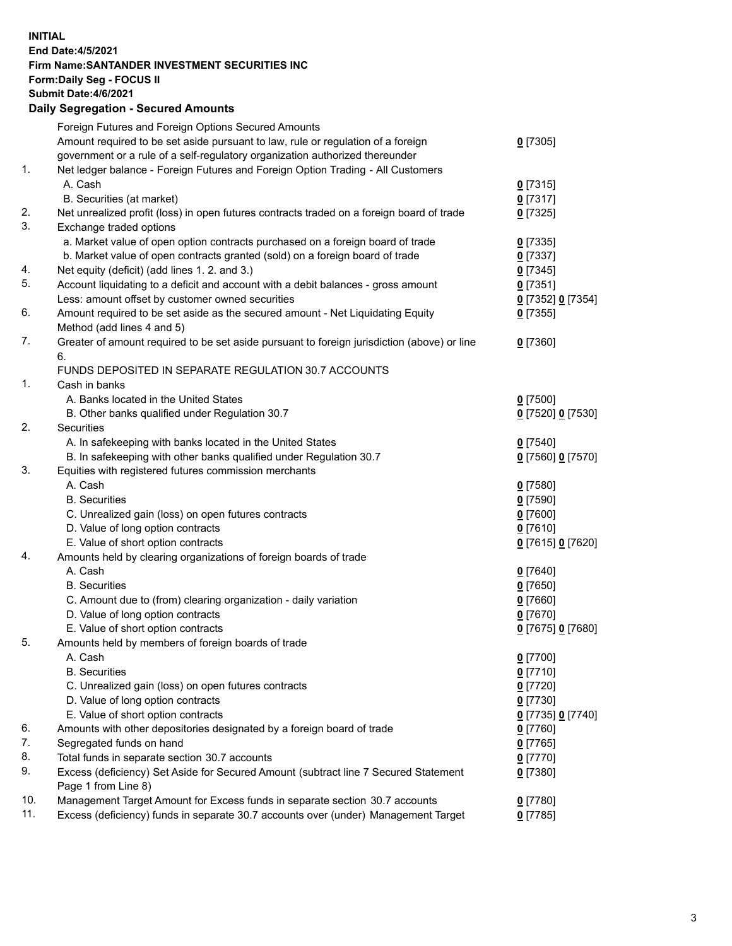## **INITIAL End Date:4/5/2021 Firm Name:SANTANDER INVESTMENT SECURITIES INC Form:Daily Seg - FOCUS II Submit Date:4/6/2021 Daily Segregation - Secured Amounts** Foreign Futures and Foreign Options Secured Amounts

|     | Foreign Futures and Foreign Options Secured Amounts                                         |                   |
|-----|---------------------------------------------------------------------------------------------|-------------------|
|     | Amount required to be set aside pursuant to law, rule or regulation of a foreign            | $0$ [7305]        |
|     | government or a rule of a self-regulatory organization authorized thereunder                |                   |
| 1.  | Net ledger balance - Foreign Futures and Foreign Option Trading - All Customers             |                   |
|     | A. Cash                                                                                     | $0$ [7315]        |
|     | B. Securities (at market)                                                                   | $0$ [7317]        |
| 2.  | Net unrealized profit (loss) in open futures contracts traded on a foreign board of trade   | $0$ [7325]        |
| 3.  | Exchange traded options                                                                     |                   |
|     | a. Market value of open option contracts purchased on a foreign board of trade              | $0$ [7335]        |
|     | b. Market value of open contracts granted (sold) on a foreign board of trade                | $0$ [7337]        |
| 4.  | Net equity (deficit) (add lines 1. 2. and 3.)                                               | $0$ [7345]        |
| 5.  | Account liquidating to a deficit and account with a debit balances - gross amount           | $0$ [7351]        |
|     | Less: amount offset by customer owned securities                                            | 0 [7352] 0 [7354] |
| 6.  | Amount required to be set aside as the secured amount - Net Liquidating Equity              | $0$ [7355]        |
|     | Method (add lines 4 and 5)                                                                  |                   |
| 7.  | Greater of amount required to be set aside pursuant to foreign jurisdiction (above) or line | $0$ [7360]        |
|     | 6.                                                                                          |                   |
|     | FUNDS DEPOSITED IN SEPARATE REGULATION 30.7 ACCOUNTS                                        |                   |
| 1.  | Cash in banks                                                                               |                   |
|     | A. Banks located in the United States                                                       | $0$ [7500]        |
|     | B. Other banks qualified under Regulation 30.7                                              | 0 [7520] 0 [7530] |
| 2.  | Securities                                                                                  |                   |
|     | A. In safekeeping with banks located in the United States                                   | $0$ [7540]        |
|     | B. In safekeeping with other banks qualified under Regulation 30.7                          | 0 [7560] 0 [7570] |
| 3.  | Equities with registered futures commission merchants                                       |                   |
|     | A. Cash                                                                                     | $0$ [7580]        |
|     | <b>B.</b> Securities                                                                        | $0$ [7590]        |
|     | C. Unrealized gain (loss) on open futures contracts                                         | $0$ [7600]        |
|     | D. Value of long option contracts                                                           | $0$ [7610]        |
|     | E. Value of short option contracts                                                          | 0 [7615] 0 [7620] |
| 4.  | Amounts held by clearing organizations of foreign boards of trade                           |                   |
|     | A. Cash                                                                                     | $0$ [7640]        |
|     | <b>B.</b> Securities                                                                        | $0$ [7650]        |
|     | C. Amount due to (from) clearing organization - daily variation                             | $0$ [7660]        |
|     | D. Value of long option contracts                                                           | $0$ [7670]        |
|     | E. Value of short option contracts                                                          | 0 [7675] 0 [7680] |
| 5.  | Amounts held by members of foreign boards of trade                                          |                   |
|     | A. Cash                                                                                     | $0$ [7700]        |
|     | <b>B.</b> Securities                                                                        | $0$ [7710]        |
|     | C. Unrealized gain (loss) on open futures contracts                                         | $0$ [7720]        |
|     | D. Value of long option contracts                                                           | $0$ [7730]        |
|     | E. Value of short option contracts                                                          | 0 [7735] 0 [7740] |
| 6.  | Amounts with other depositories designated by a foreign board of trade                      | $0$ [7760]        |
| 7.  | Segregated funds on hand                                                                    | $0$ [7765]        |
| 8.  | Total funds in separate section 30.7 accounts                                               | 0 [7770]          |
| 9.  | Excess (deficiency) Set Aside for Secured Amount (subtract line 7 Secured Statement         | $0$ [7380]        |
|     | Page 1 from Line 8)                                                                         |                   |
| 10. | Management Target Amount for Excess funds in separate section 30.7 accounts                 | $0$ [7780]        |
| 11. | Excess (deficiency) funds in separate 30.7 accounts over (under) Management Target          | $0$ [7785]        |
|     |                                                                                             |                   |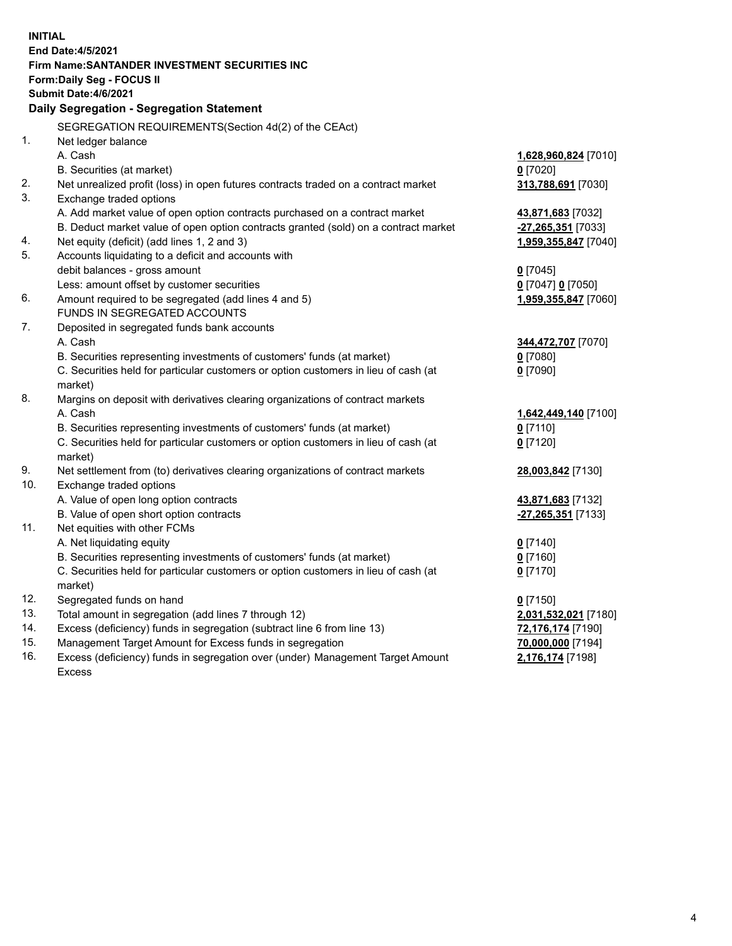|     | <b>INITIAL</b>                                                                                 |                       |  |  |  |
|-----|------------------------------------------------------------------------------------------------|-----------------------|--|--|--|
|     | End Date: 4/5/2021                                                                             |                       |  |  |  |
|     | Firm Name: SANTANDER INVESTMENT SECURITIES INC                                                 |                       |  |  |  |
|     | Form: Daily Seg - FOCUS II<br>Submit Date: 4/6/2021                                            |                       |  |  |  |
|     |                                                                                                |                       |  |  |  |
|     | Daily Segregation - Segregation Statement                                                      |                       |  |  |  |
|     | SEGREGATION REQUIREMENTS(Section 4d(2) of the CEAct)                                           |                       |  |  |  |
| 1.  | Net ledger balance                                                                             |                       |  |  |  |
|     | A. Cash                                                                                        | 1,628,960,824 [7010]  |  |  |  |
|     | B. Securities (at market)                                                                      | $0$ [7020]            |  |  |  |
| 2.  | Net unrealized profit (loss) in open futures contracts traded on a contract market             | 313,788,691 [7030]    |  |  |  |
| 3.  | Exchange traded options                                                                        |                       |  |  |  |
|     | A. Add market value of open option contracts purchased on a contract market                    | 43,871,683 [7032]     |  |  |  |
|     | B. Deduct market value of open option contracts granted (sold) on a contract market            | -27,265,351 [7033]    |  |  |  |
| 4.  | Net equity (deficit) (add lines 1, 2 and 3)                                                    | 1,959,355,847 [7040]  |  |  |  |
| 5.  | Accounts liquidating to a deficit and accounts with                                            |                       |  |  |  |
|     | debit balances - gross amount                                                                  | $0$ [7045]            |  |  |  |
|     | Less: amount offset by customer securities                                                     | $0$ [7047] $0$ [7050] |  |  |  |
| 6.  | Amount required to be segregated (add lines 4 and 5)                                           | 1,959,355,847 [7060]  |  |  |  |
|     | FUNDS IN SEGREGATED ACCOUNTS                                                                   |                       |  |  |  |
| 7.  | Deposited in segregated funds bank accounts                                                    |                       |  |  |  |
|     | A. Cash                                                                                        | 344,472,707 [7070]    |  |  |  |
|     | B. Securities representing investments of customers' funds (at market)                         | $0$ [7080]            |  |  |  |
|     | C. Securities held for particular customers or option customers in lieu of cash (at            | $0$ [7090]            |  |  |  |
| 8.  | market)                                                                                        |                       |  |  |  |
|     | Margins on deposit with derivatives clearing organizations of contract markets                 |                       |  |  |  |
|     | A. Cash                                                                                        | 1,642,449,140 [7100]  |  |  |  |
|     | B. Securities representing investments of customers' funds (at market)                         | $0$ [7110]            |  |  |  |
|     | C. Securities held for particular customers or option customers in lieu of cash (at<br>market) | $0$ [7120]            |  |  |  |
| 9.  | Net settlement from (to) derivatives clearing organizations of contract markets                | 28,003,842 [7130]     |  |  |  |
| 10. | Exchange traded options                                                                        |                       |  |  |  |
|     | A. Value of open long option contracts                                                         | 43,871,683 [7132]     |  |  |  |
|     | B. Value of open short option contracts                                                        | -27,265,351 [7133]    |  |  |  |
| 11. | Net equities with other FCMs                                                                   |                       |  |  |  |
|     | A. Net liquidating equity                                                                      | $0$ [7140]            |  |  |  |
|     | B. Securities representing investments of customers' funds (at market)                         | $0$ [7160]            |  |  |  |
|     | C. Securities held for particular customers or option customers in lieu of cash (at            | $0$ [7170]            |  |  |  |
|     | market)                                                                                        |                       |  |  |  |
| 12. | Segregated funds on hand                                                                       | $0$ [7150]            |  |  |  |
| 13. | Total amount in segregation (add lines 7 through 12)                                           | 2,031,532,021 [7180]  |  |  |  |
| 14. | Excess (deficiency) funds in segregation (subtract line 6 from line 13)                        | 72,176,174 [7190]     |  |  |  |
| 15. | Management Target Amount for Excess funds in segregation                                       | 70,000,000 [7194]     |  |  |  |
| 16. | Excess (deficiency) funds in segregation over (under) Management Target Amount                 | 2,176,174 [7198]      |  |  |  |
|     | <b>Excess</b>                                                                                  |                       |  |  |  |